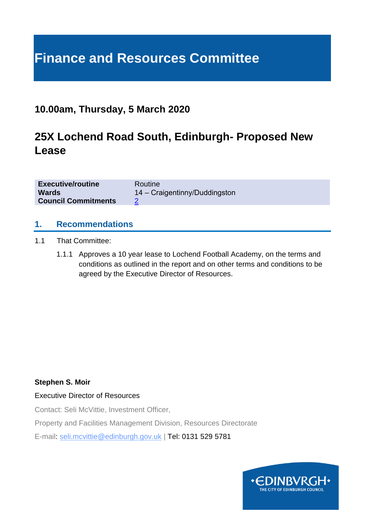# **Finance and Resources Committee**

### **10.00am, Thursday, 5 March 2020**

# **25X Lochend Road South, Edinburgh- Proposed New Lease**

| <b>Executive/routine</b>   | Routine                       |
|----------------------------|-------------------------------|
| <b>Wards</b>               | 14 – Craigentinny/Duddingston |
| <b>Council Commitments</b> |                               |

#### **1. Recommendations**

- 1.1 That Committee:
	- 1.1.1 Approves a 10 year lease to Lochend Football Academy, on the terms and conditions as outlined in the report and on other terms and conditions to be agreed by the Executive Director of Resources.

#### **Stephen S. Moir**

#### Executive Director of Resources

Contact: Seli McVittie, Investment Officer,

Property and Facilities Management Division, Resources Directorate

E-mail: seli.mcvittie@edinburgh.gov.uk | Tel: 0131 529 5781

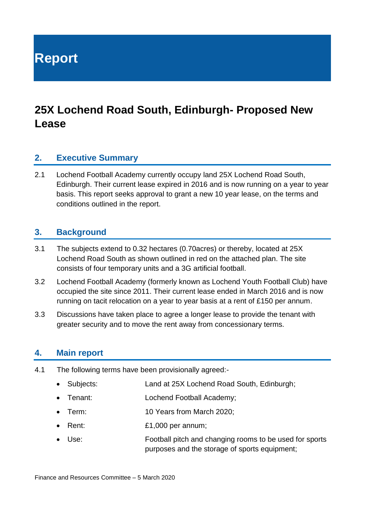**Report**

# **25X Lochend Road South, Edinburgh- Proposed New Lease**

#### **2. Executive Summary**

2.1 Lochend Football Academy currently occupy land 25X Lochend Road South, Edinburgh. Their current lease expired in 2016 and is now running on a year to year basis. This report seeks approval to grant a new 10 year lease, on the terms and conditions outlined in the report.

#### **3. Background**

- 3.1 The subjects extend to 0.32 hectares (0.70acres) or thereby, located at 25X Lochend Road South as shown outlined in red on the attached plan. The site consists of four temporary units and a 3G artificial football.
- 3.2 Lochend Football Academy (formerly known as Lochend Youth Football Club) have occupied the site since 2011. Their current lease ended in March 2016 and is now running on tacit relocation on a year to year basis at a rent of £150 per annum.
- 3.3 Discussions have taken place to agree a longer lease to provide the tenant with greater security and to move the rent away from concessionary terms.

#### **4. Main report**

- 4.1 The following terms have been provisionally agreed:-
	- Subjects: Land at 25X Lochend Road South, Edinburgh;
	- Tenant: Lochend Football Academy;
	- Term: 10 Years from March 2020;
	- Rent: £1,000 per annum;
	- Use: Football pitch and changing rooms to be used for sports purposes and the storage of sports equipment;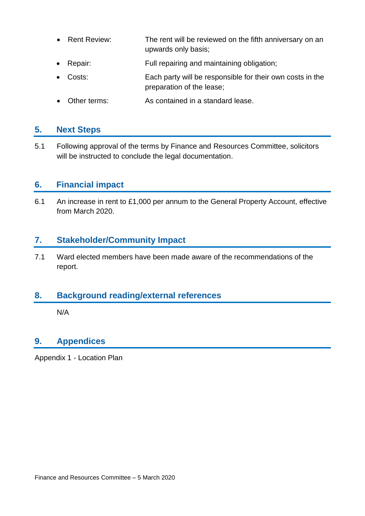- Rent Review: The rent will be reviewed on the fifth anniversary on an upwards only basis;
- Repair: Full repairing and maintaining obligation;
- Costs: Each party will be responsible for their own costs in the preparation of the lease;
- Other terms: As contained in a standard lease.

#### **5. Next Steps**

5.1 Following approval of the terms by Finance and Resources Committee, solicitors will be instructed to conclude the legal documentation.

#### **6. Financial impact**

6.1 An increase in rent to £1,000 per annum to the General Property Account, effective from March 2020.

#### **7. Stakeholder/Community Impact**

7.1 Ward elected members have been made aware of the recommendations of the report.

#### **8. Background reading/external references**

N/A

### **9. Appendices**

Appendix 1 - Location Plan